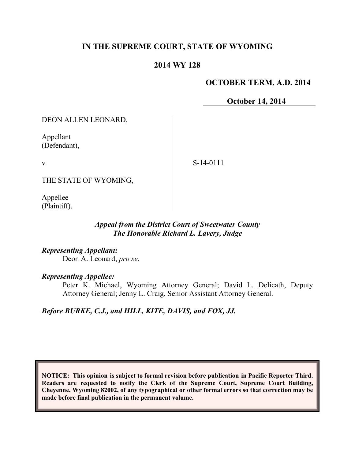# **IN THE SUPREME COURT, STATE OF WYOMING**

### **2014 WY 128**

#### **OCTOBER TERM, A.D. 2014**

**October 14, 2014**

DEON ALLEN LEONARD,

Appellant (Defendant),

v.

S-14-0111

THE STATE OF WYOMING,

Appellee (Plaintiff).

### *Appeal from the District Court of Sweetwater County The Honorable Richard L. Lavery, Judge*

*Representing Appellant:* Deon A. Leonard, *pro se*.

*Representing Appellee:*

Peter K. Michael, Wyoming Attorney General; David L. Delicath, Deputy Attorney General; Jenny L. Craig, Senior Assistant Attorney General.

*Before BURKE, C.J., and HILL, KITE, DAVIS, and FOX, JJ.*

**NOTICE: This opinion is subject to formal revision before publication in Pacific Reporter Third. Readers are requested to notify the Clerk of the Supreme Court, Supreme Court Building, Cheyenne, Wyoming 82002, of any typographical or other formal errors so that correction may be made before final publication in the permanent volume.**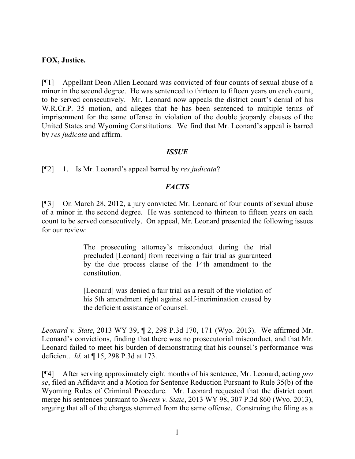#### **FOX, Justice.**

[¶1] Appellant Deon Allen Leonard was convicted of four counts of sexual abuse of a minor in the second degree. He was sentenced to thirteen to fifteen years on each count, to be served consecutively. Mr. Leonard now appeals the district court's denial of his W.R.Cr.P. 35 motion, and alleges that he has been sentenced to multiple terms of imprisonment for the same offense in violation of the double jeopardy clauses of the United States and Wyoming Constitutions. We find that Mr. Leonard's appeal is barred by *res judicata* and affirm.

#### *ISSUE*

[¶2] 1. Is Mr. Leonard's appeal barred by *res judicata*?

## *FACTS*

[¶3] On March 28, 2012, a jury convicted Mr. Leonard of four counts of sexual abuse of a minor in the second degree. He was sentenced to thirteen to fifteen years on each count to be served consecutively. On appeal, Mr. Leonard presented the following issues for our review:

> The prosecuting attorney's misconduct during the trial precluded [Leonard] from receiving a fair trial as guaranteed by the due process clause of the 14th amendment to the constitution.

> [Leonard] was denied a fair trial as a result of the violation of his 5th amendment right against self-incrimination caused by the deficient assistance of counsel.

*Leonard v. State*, 2013 WY 39, ¶ 2, 298 P.3d 170, 171 (Wyo. 2013). We affirmed Mr. Leonard's convictions, finding that there was no prosecutorial misconduct, and that Mr. Leonard failed to meet his burden of demonstrating that his counsel's performance was deficient. *Id.* at ¶ 15, 298 P.3d at 173.

[¶4] After serving approximately eight months of his sentence, Mr. Leonard, acting *pro se*, filed an Affidavit and a Motion for Sentence Reduction Pursuant to Rule 35(b) of the Wyoming Rules of Criminal Procedure. Mr. Leonard requested that the district court merge his sentences pursuant to *Sweets v. State*, 2013 WY 98, 307 P.3d 860 (Wyo. 2013), arguing that all of the charges stemmed from the same offense. Construing the filing as a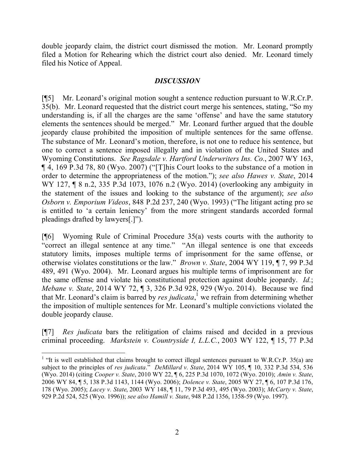double jeopardy claim, the district court dismissed the motion. Mr. Leonard promptly filed a Motion for Rehearing which the district court also denied. Mr. Leonard timely filed his Notice of Appeal.

#### *DISCUSSION*

[¶5] Mr. Leonard's original motion sought a sentence reduction pursuant to W.R.Cr.P. 35(b). Mr. Leonard requested that the district court merge his sentences, stating, "So my understanding is, if all the charges are the same 'offense' and have the same statutory elements the sentences should be merged." Mr. Leonard further argued that the double jeopardy clause prohibited the imposition of multiple sentences for the same offense. The substance of Mr. Leonard's motion, therefore, is not one to reduce his sentence, but one to correct a sentence imposed illegally and in violation of the United States and Wyoming Constitutions. *See Ragsdale v. Hartford Underwriters Ins. Co.*, 2007 WY 163, ¶ 4, 169 P.3d 78, 80 (Wyo. 2007) ("[T]his Court looks to the substance of a motion in order to determine the appropriateness of the motion."); *see also Hawes v. State*, 2014 WY 127, ¶ 8 n.2, 335 P.3d 1073, 1076 n.2 (Wyo. 2014) (overlooking any ambiguity in the statement of the issues and looking to the substance of the argument); *see also Osborn v. Emporium Videos*, 848 P.2d 237, 240 (Wyo. 1993) ("The litigant acting pro se is entitled to 'a certain leniency' from the more stringent standards accorded formal pleadings drafted by lawyers[.]").

 $[$ [6] Wyoming Rule of Criminal Procedure 35(a) vests courts with the authority to "correct an illegal sentence at any time." "An illegal sentence is one that exceeds statutory limits, imposes multiple terms of imprisonment for the same offense, or otherwise violates constitutions or the law." *Brown v. State*, 2004 WY 119, ¶ 7, 99 P.3d 489, 491 (Wyo. 2004). Mr. Leonard argues his multiple terms of imprisonment are for the same offense and violate his constitutional protection against double jeopardy. *Id.*; *Mebane v. State*, 2014 WY 72, ¶ 3, 326 P.3d 928, 929 (Wyo. 2014). Because we find that Mr. Leonard's claim is barred by *res judicata*, <sup>1</sup> we refrain from determining whether the imposition of multiple sentences for Mr. Leonard's multiple convictions violated the double jeopardy clause.

[¶7] *Res judicata* bars the relitigation of claims raised and decided in a previous criminal proceeding. *Markstein v. Countryside I, L.L.C.*, 2003 WY 122, ¶ 15, 77 P.3d

 $\overline{a}$ 

<sup>&</sup>lt;sup>1</sup> "It is well established that claims brought to correct illegal sentences pursuant to W.R.Cr.P. 35(a) are subject to the principles of *res judicata*." *DeMillard v. State*, 2014 WY 105, ¶ 10, 332 P.3d 534, 536 (Wyo. 2014) (citing *Cooper v. State*, 2010 WY 22, ¶ 6, 225 P.3d 1070, 1072 (Wyo. 2010); *Amin v. State*, 2006 WY 84, ¶ 5, 138 P.3d 1143, 1144 (Wyo. 2006); *Dolence v. State*, 2005 WY 27, ¶ 6, 107 P.3d 176, 178 (Wyo. 2005); *Lacey v. State*, 2003 WY 148, ¶ 11, 79 P.3d 493, 495 (Wyo. 2003); *McCarty v. State*, 929 P.2d 524, 525 (Wyo. 1996)); *see also Hamill v. State*, 948 P.2d 1356, 1358-59 (Wyo. 1997).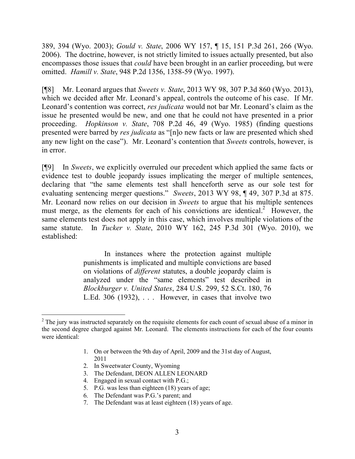389, 394 (Wyo. 2003); *Gould v. State*, 2006 WY 157, ¶ 15, 151 P.3d 261, 266 (Wyo. 2006). The doctrine, however, is not strictly limited to issues actually presented, but also encompasses those issues that *could* have been brought in an earlier proceeding, but were omitted. *Hamill v. State*, 948 P.2d 1356, 1358-59 (Wyo. 1997).

[¶8] Mr. Leonard argues that *Sweets v. State*, 2013 WY 98, 307 P.3d 860 (Wyo. 2013), which we decided after Mr. Leonard's appeal, controls the outcome of his case. If Mr. Leonard's contention was correct, *res judicata* would not bar Mr. Leonard's claim as the issue he presented would be new, and one that he could not have presented in a prior proceeding. *Hopkinson v. State*, 708 P.2d 46, 49 (Wyo. 1985) (finding questions presented were barred by *res judicata* as "[n]o new facts or law are presented which shed any new light on the case"). Mr. Leonard's contention that *Sweets* controls, however, is in error.

[¶9] In *Sweets*, we explicitly overruled our precedent which applied the same facts or evidence test to double jeopardy issues implicating the merger of multiple sentences, declaring that "the same elements test shall henceforth serve as our sole test for evaluating sentencing merger questions." *Sweets*, 2013 WY 98, ¶ 49, 307 P.3d at 875. Mr. Leonard now relies on our decision in *Sweets* to argue that his multiple sentences must merge, as the elements for each of his convictions are identical.<sup>2</sup> However, the same elements test does not apply in this case, which involves multiple violations of the same statute. In *Tucker v. State*, 2010 WY 162, 245 P.3d 301 (Wyo. 2010), we established:

> In instances where the protection against multiple punishments is implicated and multiple convictions are based on violations of *different* statutes, a double jeopardy claim is analyzed under the "same elements" test described in *Blockburger v. United States*, 284 U.S. 299, 52 S.Ct. 180, 76 L.Ed.  $306$  (1932), ... However, in cases that involve two

- 1. On or between the 9th day of April, 2009 and the 31st day of August, 2011
- 2. In Sweetwater County, Wyoming
- 3. The Defendant, DEON ALLEN LEONARD
- 4. Engaged in sexual contact with P.G.;
- 5. P.G. was less than eighteen (18) years of age;
- 6. The Defendant was P.G.'s parent; and
- 7. The Defendant was at least eighteen (18) years of age.

 <sup>2</sup> The jury was instructed separately on the requisite elements for each count of sexual abuse of a minor in the second degree charged against Mr. Leonard. The elements instructions for each of the four counts were identical: